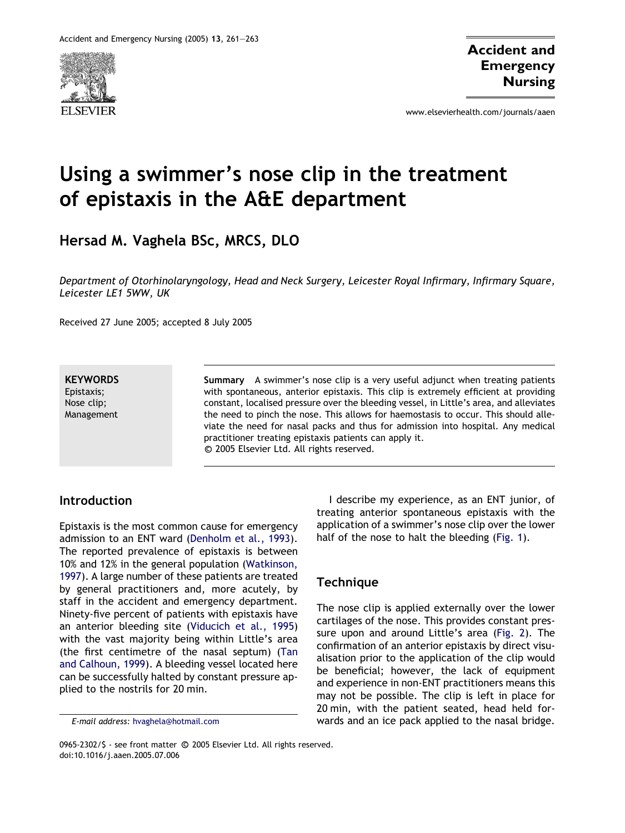

www.elsevierhealth.com/journals/aaen

# Using a swimmer's nose clip in the treatment of epistaxis in the A&E department

Hersad M. Vaghela BSc, MRCS, DLO

Department of Otorhinolaryngology, Head and Neck Surgery, Leicester Royal Infirmary, Infirmary Square, Leicester LE1 5WW, UK

Received 27 June 2005; accepted 8 July 2005

**KEYWORDS** Epistaxis; Nose clip; Management Summary A swimmer's nose clip is a very useful adjunct when treating patients with spontaneous, anterior epistaxis. This clip is extremely efficient at providing constant, localised pressure over the bleeding vessel, in Little's area, and alleviates the need to pinch the nose. This allows for haemostasis to occur. This should alleviate the need for nasal packs and thus for admission into hospital. Any medical practitioner treating epistaxis patients can apply it. <sup>c</sup> 2005 Elsevier Ltd. All rights reserved.

#### Introduction

Epistaxis is the most common cause for emergency admission to an ENT ward [\(Denholm et al., 1993\)](#page-2-0). The reported prevalence of epistaxis is between 10% and 12% in the general population [\(Watkinson,](#page-2-0) [1997](#page-2-0)). A large number of these patients are treated by general practitioners and, more acutely, by staff in the accident and emergency department. Ninety-five percent of patients with epistaxis have an anterior bleeding site ([Viducich et al., 1995](#page-2-0)) with the vast majority being within Little's area (the first centimetre of the nasal septum) [\(Tan](#page-2-0) [and Calhoun, 1999\)](#page-2-0). A bleeding vessel located here can be successfully halted by constant pressure applied to the nostrils for 20 min.

I describe my experience, as an ENT junior, of treating anterior spontaneous epistaxis with the application of a swimmer's nose clip over the lower half of the nose to halt the bleeding ([Fig. 1](#page-1-0)).

## Technique

The nose clip is applied externally over the lower cartilages of the nose. This provides constant pressure upon and around Little's area [\(Fig. 2](#page-1-0)). The confirmation of an anterior epistaxis by direct visualisation prior to the application of the clip would be beneficial; however, the lack of equipment and experience in non-ENT practitioners means this may not be possible. The clip is left in place for 20 min, with the patient seated, head held forwards and an ice pack applied to the nasal bridge.

E-mail address: [hvaghela@hotmail.com](mailto:hvaghela@hotmail.com)

<sup>0965-2302/\$ -</sup> see front matter © 2005 Elsevier Ltd. All rights reserved. doi:10.1016/j.aaen.2005.07.006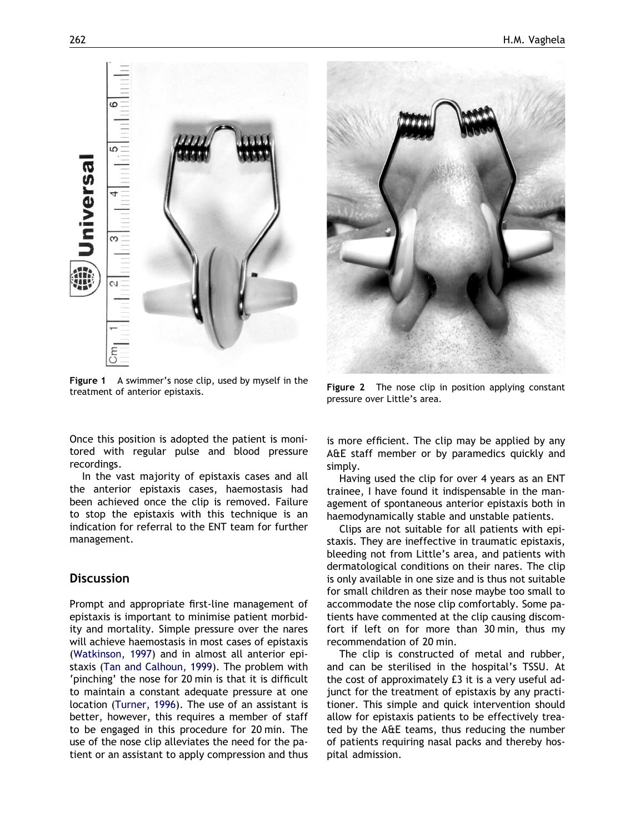<span id="page-1-0"></span>

Figure 1 A swimmer's nose clip, used by myself in the treatment of anterior epistaxis.

Once this position is adopted the patient is monitored with regular pulse and blood pressure recordings.

In the vast majority of epistaxis cases and all the anterior epistaxis cases, haemostasis had been achieved once the clip is removed. Failure to stop the epistaxis with this technique is an indication for referral to the ENT team for further management.

## **Discussion**

Prompt and appropriate first-line management of epistaxis is important to minimise patient morbidity and mortality. Simple pressure over the nares will achieve haemostasis in most cases of epistaxis ([Watkinson, 1997\)](#page-2-0) and in almost all anterior epistaxis ([Tan and Calhoun, 1999](#page-2-0)). The problem with 'pinching' the nose for 20 min is that it is difficult to maintain a constant adequate pressure at one location ([Turner, 1996\)](#page-2-0). The use of an assistant is better, however, this requires a member of staff to be engaged in this procedure for 20 min. The use of the nose clip alleviates the need for the patient or an assistant to apply compression and thus



Figure 2 The nose clip in position applying constant pressure over Little's area.

is more efficient. The clip may be applied by any A&E staff member or by paramedics quickly and simply.

Having used the clip for over 4 years as an ENT trainee, I have found it indispensable in the management of spontaneous anterior epistaxis both in haemodynamically stable and unstable patients.

Clips are not suitable for all patients with epistaxis. They are ineffective in traumatic epistaxis, bleeding not from Little's area, and patients with dermatological conditions on their nares. The clip is only available in one size and is thus not suitable for small children as their nose maybe too small to accommodate the nose clip comfortably. Some patients have commented at the clip causing discomfort if left on for more than 30 min, thus my recommendation of 20 min.

The clip is constructed of metal and rubber, and can be sterilised in the hospital's TSSU. At the cost of approximately £3 it is a very useful adjunct for the treatment of epistaxis by any practitioner. This simple and quick intervention should allow for epistaxis patients to be effectively treated by the A&E teams, thus reducing the number of patients requiring nasal packs and thereby hospital admission.